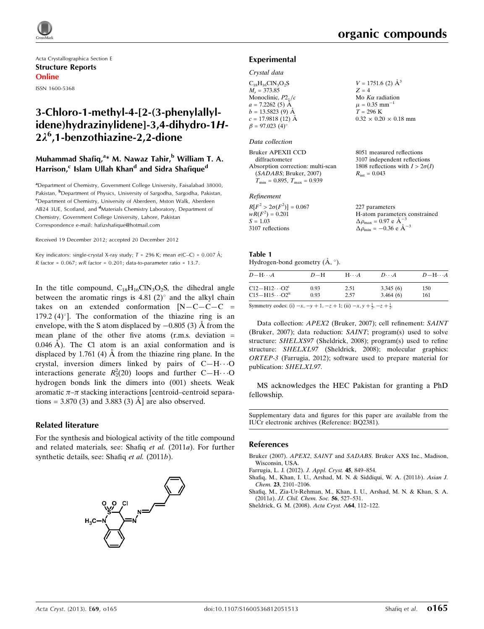Acta Crystallographica Section E Structure Reports Online

ISSN 1600-5368

# 3-Chloro-1-methyl-4-[2-(3-phenylallylidene)hydrazinylidene]-3,4-dihydro-1H-2k<sup>6</sup> ,1-benzothiazine-2,2-dione

### Muhammad Shafiq,<sup>a</sup>\* M. Nawaz Tahir,<sup>b</sup> William T. A. Harrison,<sup>c</sup> Islam Ullah Khan<sup>d</sup> and Sidra Shafique<sup>d</sup>

<sup>a</sup> Department of Chemistry, Government College University, Faisalabad 38000, Pakistan, <sup>b</sup>Department of Physics, University of Sargodha, Sargodha, Pakistan, <sup>c</sup>Department of Chemistry, University of Aberdeen, Mston Walk, Aberdeen AB24 3UE, Scotland, and <sup>d</sup>Materials Chemistry Laboratory, Department of Chemistry, Government College University, Lahore, Pakistan Correspondence e-mail: [hafizshafique@hotmail.com](https://scripts.iucr.org/cgi-bin/cr.cgi?rm=pdfbb&cnor=bq2381&bbid=BB5)

Received 19 December 2012; accepted 20 December 2012

Key indicators: single-crystal X-ray study;  $T = 296$  K; mean  $\sigma$ (C–C) = 0.007 Å; R factor =  $0.067$ ; wR factor =  $0.201$ ; data-to-parameter ratio = 13.7.

In the title compound,  $C_{18}H_{16}CN_3O_2S$ , the dihedral angle between the aromatic rings is  $4.81(2)^\circ$  and the alkyl chain takes on an extended conformation  $[N-C-C-C]$  = 179.2 (4) $^{\circ}$ ]. The conformation of the thiazine ring is an envelope, with the S atom displaced by  $-0.805$  (3) Å from the mean plane of the other five atoms  $(r.m.s.$  deviation  $=$  $0.046$  A). The Cl atom is an axial conformation and is displaced by 1.761 (4)  $\AA$  from the thiazine ring plane. In the crystal, inversion dimers linked by pairs of  $C-H\cdots O$ interactions generate  $R_2^2(20)$  loops and further C-H $\cdots$ O hydrogen bonds link the dimers into (001) sheets. Weak aromatic  $\pi-\pi$  stacking interactions [centroid–centroid separations = 3.870 (3) and 3.883 (3)  $\AA$  are also observed.

### Related literature

For the synthesis and biological activity of the title compound and related materials, see: Shafiq et al. (2011a). For further synthetic details, see: Shafiq et al. (2011b).



8051 measured reflections 3107 independent reflections 1808 reflections with  $I > 2\sigma(I)$ 

 $R_{\text{int}} = 0.043$ 

### Experimental

## Crystal data

| $C_{18}H_{16}CIN_3O_2S$ | $V = 1751.6$ (2) $\AA^3$          |
|-------------------------|-----------------------------------|
| $M_r = 373.85$          | $Z = 4$                           |
| Monoclinic, $P2_1/c$    | Mo $K\alpha$ radiation            |
| $a = 7.2262(5)$ Å       | $\mu = 0.35$ mm <sup>-1</sup>     |
| $b = 13.5823(9)$ Å      | $T = 296$ K                       |
| $c = 17.9818(12)$ Å     | $0.32 \times 0.20 \times 0.18$ mm |
| $\beta = 97.023(4)$ °   |                                   |
|                         |                                   |

### Data collection

Bruker APEXII CCD diffractometer Absorption correction: multi-scan (SADABS; Bruker, 2007)  $T_{\text{min}} = 0.895, T_{\text{max}} = 0.939$ 

#### Refinement

| $R[F^2 > 2\sigma(F^2)] = 0.067$ | 227 parameters                                     |
|---------------------------------|----------------------------------------------------|
| $wR(F^2) = 0.201$               | H-atom parameters constrained                      |
| $S = 1.03$                      | $\Delta \rho_{\text{max}} = 0.97 \text{ e A}^{-3}$ |
| 3107 reflections                | $\Delta \rho_{\text{min}} = -0.36$ e $\AA^{-3}$    |

#### Table 1 Hydrogen-bond geometry  $(\AA, \degree)$ .

| $D - H \cdots A$           | $D-H$ | $H\cdots A$ | $D\cdots A$ | $D-H\cdots A$ |
|----------------------------|-------|-------------|-------------|---------------|
| $C12 - H12 \cdots O2^1$    | 0.93  | 2.51        | 3.345(6)    | 150           |
| $C15 - H15 \cdots O2^{ii}$ | 0.93  | 2.57        | 3.464(6)    | 161           |

Symmetry codes: (i)  $-x$ ,  $-y + 1$ ,  $-z + 1$ ; (ii)  $-x$ ,  $y + \frac{1}{2}$ ,  $-z + \frac{1}{2}$ .

Data collection: APEX2 (Bruker, 2007); cell refinement: SAINT (Bruker, 2007); data reduction: SAINT; program(s) used to solve structure: SHELXS97 (Sheldrick, 2008); program(s) used to refine structure: SHELXL97 (Sheldrick, 2008); molecular graphics: ORTEP-3 (Farrugia, 2012); software used to prepare material for publication: SHELXL97.

MS acknowledges the HEC Pakistan for granting a PhD fellowship.

Supplementary data and figures for this paper are available from the IUCr electronic archives (Reference: BQ2381).

### References

Bruker (2007). APEX2, SAINT and SADABS[. Bruker AXS Inc., Madison,](https://scripts.iucr.org/cgi-bin/cr.cgi?rm=pdfbb&cnor=bq2381&bbid=BB1) [Wisconsin, USA.](https://scripts.iucr.org/cgi-bin/cr.cgi?rm=pdfbb&cnor=bq2381&bbid=BB1)

[Farrugia, L. J. \(2012\).](https://scripts.iucr.org/cgi-bin/cr.cgi?rm=pdfbb&cnor=bq2381&bbid=BB2) J. Appl. Cryst. 45, 849–854.

- [Shafiq, M., Khan, I. U., Arshad, M. N. & Siddiqui, W. A. \(2011](https://scripts.iucr.org/cgi-bin/cr.cgi?rm=pdfbb&cnor=bq2381&bbid=BB3)b). Asian J. Chem. 23[, 2101–2106.](https://scripts.iucr.org/cgi-bin/cr.cgi?rm=pdfbb&cnor=bq2381&bbid=BB3)
- [Shafiq, M., Zia-Ur-Rehman, M., Khan, I. U., Arshad, M. N. & Khan, S. A.](https://scripts.iucr.org/cgi-bin/cr.cgi?rm=pdfbb&cnor=bq2381&bbid=BB4) (2011a). [JJ. Chil. Chem. Soc.](https://scripts.iucr.org/cgi-bin/cr.cgi?rm=pdfbb&cnor=bq2381&bbid=BB4) 56, 527–531.

[Sheldrick, G. M. \(2008\).](https://scripts.iucr.org/cgi-bin/cr.cgi?rm=pdfbb&cnor=bq2381&bbid=BB5) Acta Cryst. A64, 112–122.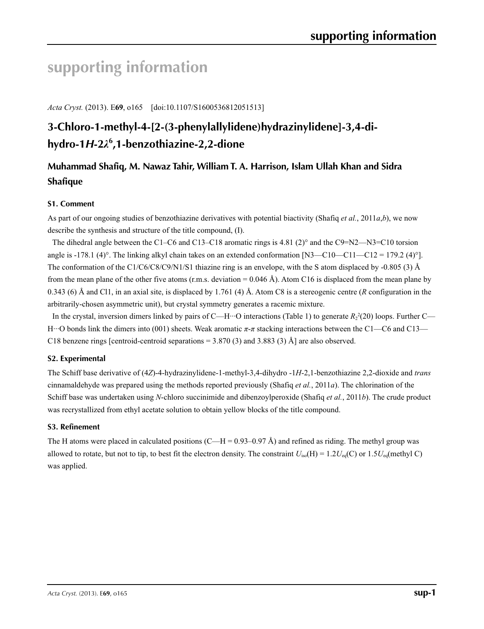# **supporting information**

*Acta Cryst.* (2013). E**69**, o165 [doi:10.1107/S1600536812051513]

# **3-Chloro-1-methyl-4-[2-(3-phenylallylidene)hydrazinylidene]-3,4-dihydro-1***H***-2***λ***<sup>6</sup> ,1-benzothiazine-2,2-dione**

# **Muhammad Shafiq, M. Nawaz Tahir, William T. A. Harrison, Islam Ullah Khan and Sidra Shafique**

### **S1. Comment**

As part of our ongoing studies of benzothiazine derivatives with potential biactivity (Shafiq *et al.*, 2011*a*,*b*), we now describe the synthesis and structure of the title compound, (I).

The dihedral angle between the C1–C6 and C13–C18 aromatic rings is 4.81 (2)° and the C9=N2—N3=C10 torsion angle is -178.1 (4)°. The linking alkyl chain takes on an extended conformation  $[N3—C10—C11—C12 = 179.2$  (4)°]. The conformation of the C1/C6/C8/C9/N1/S1 thiazine ring is an envelope, with the S atom displaced by -0.805 (3) Å from the mean plane of the other five atoms (r.m.s. deviation =  $0.046 \text{ Å}$ ). Atom C16 is displaced from the mean plane by 0.343 (6) Å and Cl1, in an axial site, is displaced by 1.761 (4) Å. Atom C8 is a stereogenic centre (*R* configuration in the arbitrarily-chosen asymmetric unit), but crystal symmetry generates a racemic mixture.

In the crystal, inversion dimers linked by pairs of C—H<sup> $...$ </sup>O interactions (Table 1) to generate  $R_2^2(20)$  loops. Further C— H···O bonds link the dimers into (001) sheets. Weak aromatic *π*-*π* stacking interactions between the C1—C6 and C13— C18 benzene rings [centroid-centroid separations  $=$  3.870 (3) and 3.883 (3) Å] are also observed.

### **S2. Experimental**

The Schiff base derivative of (4*Z*)-4-hydrazinylidene-1-methyl-3,4-dihydro -1*H*-2,1-benzothiazine 2,2-dioxide and *trans* cinnamaldehyde was prepared using the methods reported previously (Shafiq *et al.*, 2011*a*). The chlorination of the Schiff base was undertaken using *N*-chloro succinimide and dibenzoylperoxide (Shafiq *et al.*, 2011*b*). The crude product was recrystallized from ethyl acetate solution to obtain yellow blocks of the title compound.

### **S3. Refinement**

The H atoms were placed in calculated positions (C—H = 0.93–0.97 Å) and refined as riding. The methyl group was allowed to rotate, but not to tip, to best fit the electron density. The constraint  $U_{iso}(H) = 1.2U_{eq}(C)$  or  $1.5U_{eq}($ methyl C) was applied.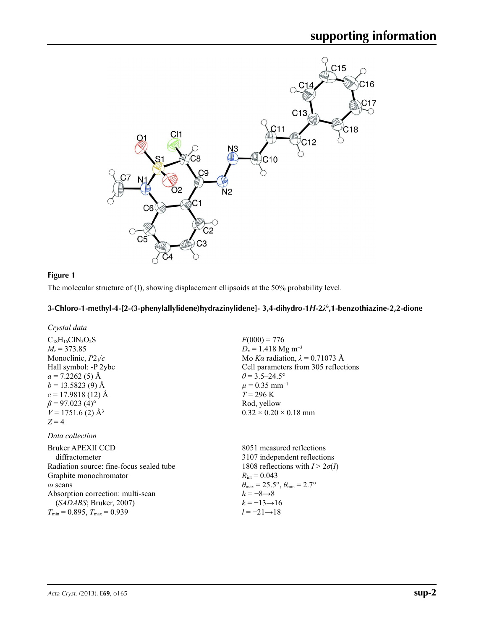

### **Figure 1**

The molecular structure of (I), showing displacement ellipsoids at the 50% probability level.

### **3-Chloro-1-methyl-4-[2-(3-phenylallylidene)hydrazinylidene]- 3,4-dihydro-1***H***-2***λ***<sup>6</sup> ,1-benzothiazine-2,2-dione**

*Crystal data*

### *Data collection*

Bruker APEXII CCD diffractometer Radiation source: fine-focus sealed tube Graphite monochromator *ω* scans Absorption correction: multi-scan (*SADABS*; Bruker, 2007)  $T_{\text{min}} = 0.895, T_{\text{max}} = 0.939$ 

 $F(000) = 776$  $D_x = 1.418$  Mg m<sup>-3</sup> Mo *Kα* radiation, *λ* = 0.71073 Å Cell parameters from 305 reflections  $\theta$  = 3.5–24.5°  $\mu$  = 0.35 mm<sup>-1</sup>  $T = 296$  K Rod, yellow  $0.32 \times 0.20 \times 0.18$  mm

8051 measured reflections 3107 independent reflections 1808 reflections with  $I > 2\sigma(I)$  $R_{\text{int}} = 0.043$  $\theta_{\text{max}} = 25.5^{\circ}, \theta_{\text{min}} = 2.7^{\circ}$  $h = -8 \rightarrow 8$  $k = -13 \rightarrow 16$ *l* = −21→18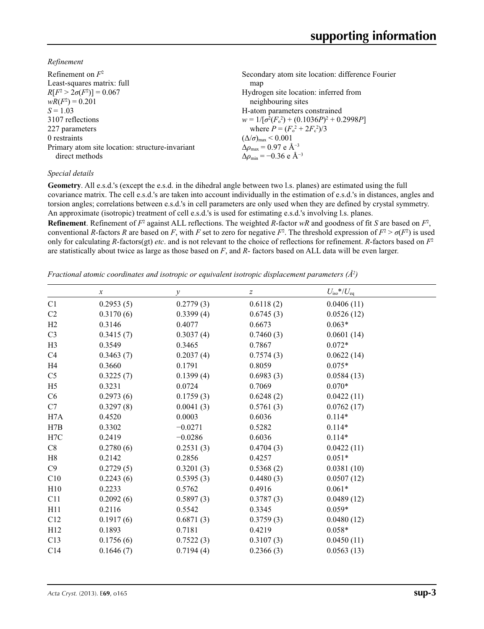*Refinement*

| Refinement on $F^2$                             | Secondary atom site location: difference Fourier   |
|-------------------------------------------------|----------------------------------------------------|
| Least-squares matrix: full                      | map                                                |
| $R[F^2 > 2\sigma(F^2)] = 0.067$                 | Hydrogen site location: inferred from              |
| $wR(F^2) = 0.201$                               | neighbouring sites                                 |
| $S = 1.03$                                      | H-atom parameters constrained                      |
| 3107 reflections                                | $w = 1/[\sigma^2(F_0^2) + (0.1036P)^2 + 0.2998P]$  |
| 227 parameters                                  | where $P = (F_o^2 + 2F_c^2)/3$                     |
| 0 restraints                                    | $(\Delta/\sigma)_{\text{max}}$ < 0.001             |
| Primary atom site location: structure-invariant | $\Delta\rho_{\text{max}}$ = 0.97 e Å <sup>-3</sup> |
| direct methods                                  | $\Delta\rho_{\rm min} = -0.36$ e Å <sup>-3</sup>   |
|                                                 |                                                    |

### *Special details*

**Geometry**. All e.s.d.'s (except the e.s.d. in the dihedral angle between two l.s. planes) are estimated using the full covariance matrix. The cell e.s.d.'s are taken into account individually in the estimation of e.s.d.'s in distances, angles and torsion angles; correlations between e.s.d.'s in cell parameters are only used when they are defined by crystal symmetry. An approximate (isotropic) treatment of cell e.s.d.'s is used for estimating e.s.d.'s involving l.s. planes.

**Refinement**. Refinement of  $F^2$  against ALL reflections. The weighted R-factor wR and goodness of fit *S* are based on  $F^2$ , conventional *R*-factors *R* are based on *F*, with *F* set to zero for negative  $F^2$ . The threshold expression of  $F^2 > \sigma(F^2)$  is used only for calculating *R*-factors(gt) *etc*. and is not relevant to the choice of reflections for refinement. *R*-factors based on *F*<sup>2</sup> are statistically about twice as large as those based on *F*, and *R*- factors based on ALL data will be even larger.

*Fractional atomic coordinates and isotropic or equivalent isotropic displacement parameters (Å<sup>2</sup>)* 

|                | $\boldsymbol{x}$ | у         | z         | $U_{\rm iso}$ */ $U_{\rm eq}$ |
|----------------|------------------|-----------|-----------|-------------------------------|
| C <sub>1</sub> | 0.2953(5)        | 0.2779(3) | 0.6118(2) | 0.0406(11)                    |
| C <sub>2</sub> | 0.3170(6)        | 0.3399(4) | 0.6745(3) | 0.0526(12)                    |
| H2             | 0.3146           | 0.4077    | 0.6673    | $0.063*$                      |
| C <sub>3</sub> | 0.3415(7)        | 0.3037(4) | 0.7460(3) | 0.0601(14)                    |
| H <sub>3</sub> | 0.3549           | 0.3465    | 0.7867    | $0.072*$                      |
| C4             | 0.3463(7)        | 0.2037(4) | 0.7574(3) | 0.0622(14)                    |
| H4             | 0.3660           | 0.1791    | 0.8059    | $0.075*$                      |
| C <sub>5</sub> | 0.3225(7)        | 0.1399(4) | 0.6983(3) | 0.0584(13)                    |
| H <sub>5</sub> | 0.3231           | 0.0724    | 0.7069    | $0.070*$                      |
| C <sub>6</sub> | 0.2973(6)        | 0.1759(3) | 0.6248(2) | 0.0422(11)                    |
| C7             | 0.3297(8)        | 0.0041(3) | 0.5761(3) | 0.0762(17)                    |
| H7A            | 0.4520           | 0.0003    | 0.6036    | $0.114*$                      |
| H7B            | 0.3302           | $-0.0271$ | 0.5282    | $0.114*$                      |
| H7C            | 0.2419           | $-0.0286$ | 0.6036    | $0.114*$                      |
| C8             | 0.2780(6)        | 0.2531(3) | 0.4704(3) | 0.0422(11)                    |
| H8             | 0.2142           | 0.2856    | 0.4257    | $0.051*$                      |
| C9             | 0.2729(5)        | 0.3201(3) | 0.5368(2) | 0.0381(10)                    |
| C10            | 0.2243(6)        | 0.5395(3) | 0.4480(3) | 0.0507(12)                    |
| H10            | 0.2233           | 0.5762    | 0.4916    | $0.061*$                      |
| C11            | 0.2092(6)        | 0.5897(3) | 0.3787(3) | 0.0489(12)                    |
| H11            | 0.2116           | 0.5542    | 0.3345    | $0.059*$                      |
| C12            | 0.1917(6)        | 0.6871(3) | 0.3759(3) | 0.0480(12)                    |
| H12            | 0.1893           | 0.7181    | 0.4219    | $0.058*$                      |
| C13            | 0.1756(6)        | 0.7522(3) | 0.3107(3) | 0.0450(11)                    |
| C14            | 0.1646(7)        | 0.7194(4) | 0.2366(3) | 0.0563(13)                    |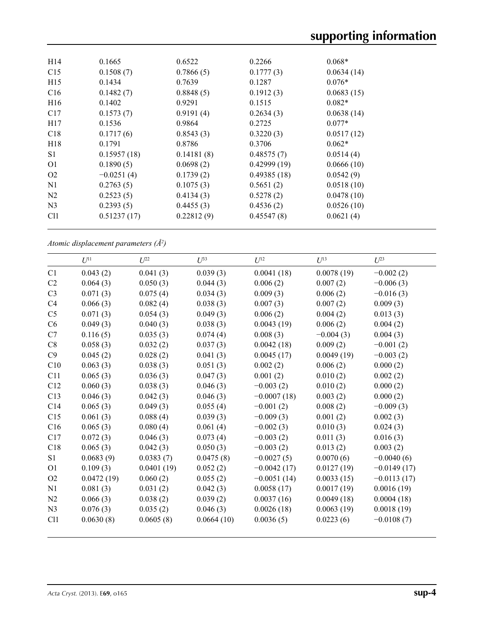| H <sub>14</sub> | 0.1665       | 0.6522     | 0.2266      | $0.068*$   |  |
|-----------------|--------------|------------|-------------|------------|--|
| C15             | 0.1508(7)    | 0.7866(5)  | 0.1777(3)   | 0.0634(14) |  |
| H15             | 0.1434       | 0.7639     | 0.1287      | $0.076*$   |  |
| C16             | 0.1482(7)    | 0.8848(5)  | 0.1912(3)   | 0.0683(15) |  |
| H <sub>16</sub> | 0.1402       | 0.9291     | 0.1515      | $0.082*$   |  |
| C17             | 0.1573(7)    | 0.9191(4)  | 0.2634(3)   | 0.0638(14) |  |
| H17             | 0.1536       | 0.9864     | 0.2725      | $0.077*$   |  |
| C18             | 0.1717(6)    | 0.8543(3)  | 0.3220(3)   | 0.0517(12) |  |
| H <sub>18</sub> | 0.1791       | 0.8786     | 0.3706      | $0.062*$   |  |
| S1              | 0.15957(18)  | 0.14181(8) | 0.48575(7)  | 0.0514(4)  |  |
| O <sub>1</sub>  | 0.1890(5)    | 0.0698(2)  | 0.42999(19) | 0.0666(10) |  |
| O <sub>2</sub>  | $-0.0251(4)$ | 0.1739(2)  | 0.49385(18) | 0.0542(9)  |  |
| N1              | 0.2763(5)    | 0.1075(3)  | 0.5651(2)   | 0.0518(10) |  |
| N <sub>2</sub>  | 0.2523(5)    | 0.4134(3)  | 0.5278(2)   | 0.0478(10) |  |
| N <sub>3</sub>  | 0.2393(5)    | 0.4455(3)  | 0.4536(2)   | 0.0526(10) |  |
| C <sub>11</sub> | 0.51237(17)  | 0.22812(9) | 0.45547(8)  | 0.0621(4)  |  |
|                 |              |            |             |            |  |

*Atomic displacement parameters (Å2 )*

|                 | $U^{11}$   | $U^{22}$   | $U^{33}$   | $U^{12}$      | $U^{13}$    | $U^{23}$      |
|-----------------|------------|------------|------------|---------------|-------------|---------------|
| C1              | 0.043(2)   | 0.041(3)   | 0.039(3)   | 0.0041(18)    | 0.0078(19)  | $-0.002(2)$   |
| C2              | 0.064(3)   | 0.050(3)   | 0.044(3)   | 0.006(2)      | 0.007(2)    | $-0.006(3)$   |
| C <sub>3</sub>  | 0.071(3)   | 0.075(4)   | 0.034(3)   | 0.009(3)      | 0.006(2)    | $-0.016(3)$   |
| C <sub>4</sub>  | 0.066(3)   | 0.082(4)   | 0.038(3)   | 0.007(3)      | 0.007(2)    | 0.009(3)      |
| C <sub>5</sub>  | 0.071(3)   | 0.054(3)   | 0.049(3)   | 0.006(2)      | 0.004(2)    | 0.013(3)      |
| C6              | 0.049(3)   | 0.040(3)   | 0.038(3)   | 0.0043(19)    | 0.006(2)    | 0.004(2)      |
| C7              | 0.116(5)   | 0.035(3)   | 0.074(4)   | 0.008(3)      | $-0.004(3)$ | 0.004(3)      |
| C8              | 0.058(3)   | 0.032(2)   | 0.037(3)   | 0.0042(18)    | 0.009(2)    | $-0.001(2)$   |
| C9              | 0.045(2)   | 0.028(2)   | 0.041(3)   | 0.0045(17)    | 0.0049(19)  | $-0.003(2)$   |
| C10             | 0.063(3)   | 0.038(3)   | 0.051(3)   | 0.002(2)      | 0.006(2)    | 0.000(2)      |
| C11             | 0.065(3)   | 0.036(3)   | 0.047(3)   | 0.001(2)      | 0.010(2)    | 0.002(2)      |
| C12             | 0.060(3)   | 0.038(3)   | 0.046(3)   | $-0.003(2)$   | 0.010(2)    | 0.000(2)      |
| C13             | 0.046(3)   | 0.042(3)   | 0.046(3)   | $-0.0007(18)$ | 0.003(2)    | 0.000(2)      |
| C <sub>14</sub> | 0.065(3)   | 0.049(3)   | 0.055(4)   | $-0.001(2)$   | 0.008(2)    | $-0.009(3)$   |
| C15             | 0.061(3)   | 0.088(4)   | 0.039(3)   | $-0.009(3)$   | 0.001(2)    | 0.002(3)      |
| C16             | 0.065(3)   | 0.080(4)   | 0.061(4)   | $-0.002(3)$   | 0.010(3)    | 0.024(3)      |
| C17             | 0.072(3)   | 0.046(3)   | 0.073(4)   | $-0.003(2)$   | 0.011(3)    | 0.016(3)      |
| C18             | 0.065(3)   | 0.042(3)   | 0.050(3)   | $-0.003(2)$   | 0.013(2)    | 0.003(2)      |
| S <sub>1</sub>  | 0.0683(9)  | 0.0383(7)  | 0.0475(8)  | $-0.0027(5)$  | 0.0070(6)   | $-0.0040(6)$  |
| O <sub>1</sub>  | 0.109(3)   | 0.0401(19) | 0.052(2)   | $-0.0042(17)$ | 0.0127(19)  | $-0.0149(17)$ |
| O <sub>2</sub>  | 0.0472(19) | 0.060(2)   | 0.055(2)   | $-0.0051(14)$ | 0.0033(15)  | $-0.0113(17)$ |
| N1              | 0.081(3)   | 0.031(2)   | 0.042(3)   | 0.0058(17)    | 0.0017(19)  | 0.0016(19)    |
| N <sub>2</sub>  | 0.066(3)   | 0.038(2)   | 0.039(2)   | 0.0037(16)    | 0.0049(18)  | 0.0004(18)    |
| N <sub>3</sub>  | 0.076(3)   | 0.035(2)   | 0.046(3)   | 0.0026(18)    | 0.0063(19)  | 0.0018(19)    |
| Cl <sub>1</sub> | 0.0630(8)  | 0.0605(8)  | 0.0664(10) | 0.0036(5)     | 0.0223(6)   | $-0.0108(7)$  |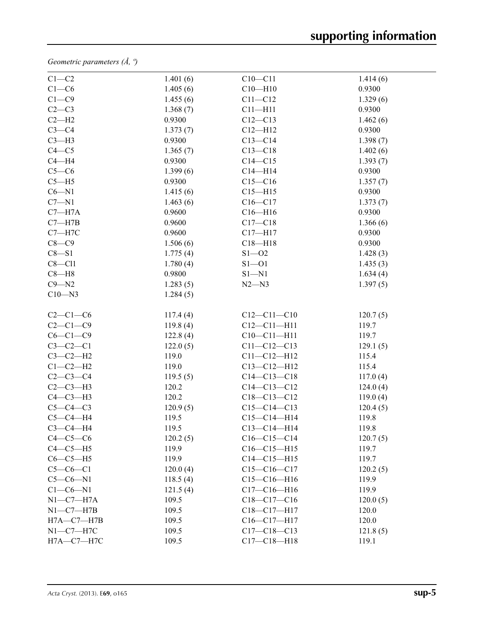*Geometric parameters (Å, º)*

| $C1-C2$          | 1.401(6) | $C10 - C11$       | 1.414(6) |  |
|------------------|----------|-------------------|----------|--|
| $C1-C6$          | 1.405(6) | $C10 - H10$       | 0.9300   |  |
| $C1 - C9$        | 1.455(6) | $C11 - C12$       | 1.329(6) |  |
| $C2-C3$          | 1.368(7) | $C11 - H11$       | 0.9300   |  |
| $C2-H2$          | 0.9300   | $C12 - C13$       | 1.462(6) |  |
| $C3-C4$          | 1.373(7) | $C12 - H12$       | 0.9300   |  |
| $C3-H3$          | 0.9300   | $C13 - C14$       | 1.398(7) |  |
| $C4 - C5$        | 1.365(7) | $C13 - C18$       | 1.402(6) |  |
| $C4 - H4$        | 0.9300   | $C14 - C15$       | 1.393(7) |  |
| $C5-C6$          | 1.399(6) | $C14 - H14$       | 0.9300   |  |
| $C5 - H5$        | 0.9300   | $C15 - C16$       | 1.357(7) |  |
| $C6 - N1$        | 1.415(6) | $C15 - H15$       | 0.9300   |  |
| $C7 - N1$        | 1.463(6) | $C16 - C17$       | 1.373(7) |  |
| $C7 - H7A$       | 0.9600   | $C16 - H16$       | 0.9300   |  |
| $C7 - H7B$       | 0.9600   | $C17 - C18$       | 1.366(6) |  |
| $C7 - H7C$       | 0.9600   | $C17 - H17$       | 0.9300   |  |
| $C8-C9$          | 1.506(6) | $C18 - H18$       | 0.9300   |  |
| $C8 - S1$        | 1.775(4) | $S1 - 02$         | 1.428(3) |  |
| $C8 - C11$       | 1.780(4) | $S1 - 01$         | 1.435(3) |  |
| $C8 - H8$        | 0.9800   | $S1 - N1$         | 1.634(4) |  |
| $C9 - N2$        | 1.283(5) | $N2 - N3$         | 1.397(5) |  |
| $C10 - N3$       | 1.284(5) |                   |          |  |
|                  |          |                   |          |  |
| $C2-C1-C6$       | 117.4(4) | $C12 - C11 - C10$ | 120.7(5) |  |
| $C2-C1-C9$       | 119.8(4) | $C12 - C11 - H11$ | 119.7    |  |
| $C6-C1-C9$       | 122.8(4) | $C10-C11-H11$     | 119.7    |  |
| $C3-C2-C1$       | 122.0(5) | $C11 - C12 - C13$ | 129.1(5) |  |
| $C3-C2-H2$       | 119.0    | $C11 - C12 - H12$ | 115.4    |  |
| $C1-C2-H2$       | 119.0    | $C13 - C12 - H12$ | 115.4    |  |
| $C2-C3-C4$       | 119.5(5) | $C14 - C13 - C18$ | 117.0(4) |  |
| $C2-C3-H3$       | 120.2    | $C14 - C13 - C12$ | 124.0(4) |  |
| $C4-C3-H3$       | 120.2    | $C18 - C13 - C12$ | 119.0(4) |  |
| $C5-C4-C3$       | 120.9(5) | $C15-C14-C13$     | 120.4(5) |  |
| $C5-C4-H4$       | 119.5    | $C15 - C14 - H14$ | 119.8    |  |
| $C3-C4-H4$       | 119.5    | $C13 - C14 - H14$ | 119.8    |  |
| $C4-C5-C6$       | 120.2(5) | $C16-C15-C14$     | 120.7(5) |  |
| $C4-C5-H5$       | 119.9    | $C16-C15-H15$     | 119.7    |  |
| $C6-C5-H5$       | 119.9    | $C14 - C15 - H15$ | 119.7    |  |
| $C5-C6-C1$       | 120.0(4) | $C15-C16-C17$     | 120.2(5) |  |
| $C5-C6-N1$       | 118.5(4) | $C15-C16-H16$     | 119.9    |  |
| $C1-C6-N1$       | 121.5(4) | $C17 - C16 - H16$ | 119.9    |  |
| $N1-C7-H7A$      | 109.5    | C18-C17-C16       | 120.0(5) |  |
| $N1-C7-H7B$      | 109.5    | C18-C17-H17       | 120.0    |  |
| $H7A - C7 - H7B$ | 109.5    | $C16 - C17 - H17$ | 120.0    |  |
| $N1-C7-H7C$      | 109.5    | $C17 - C18 - C13$ | 121.8(5) |  |
| $H7A - C7 - H7C$ | 109.5    | $C17 - C18 - H18$ | 119.1    |  |